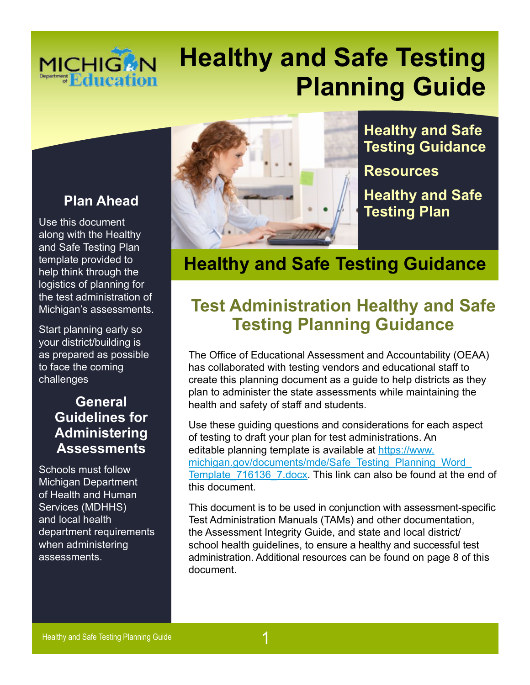## **MICHIGAN** Department **Education**

# **Healthy and Safe Testing Planning Guide**

#### **Plan Ahead**

Use this document along with the Healthy and Safe Testing Plan template provided to help think through the logistics of planning for the test administration of Michigan's assessments.

Start planning early so your district/building is as prepared as possible to face the coming challenges

#### **General Guidelines for Administering Assessments**

Schools must follow Michigan Department of Health and Human Services (MDHHS) and local health department requirements when administering assessments.



**Healthy and Safe Testing Guidance** 

**[Resources](#page-5-0)** 

**Healthy and Saf[e](#page-6-1) [Testing Plan](#page-6-1)** 

**Healthy and Safe Testing Guidance** 

### **Test Administration Healthy and Safe Testing Planning Guidance**

The Office of Educational Assessment and Accountability (OEAA) has collaborated with testing vendors and educational staff to create this planning document as a guide to help districts as they plan to administer the state assessments while maintaining the health and safety of staff and students.

Use these guiding questions and considerations for each aspect of testing to draft your plan for test administrations. An editable planning template is available at [https://www.](https://www.michigan.gov/documents/mde/Safe_Testing_Planning_Word_Template_716136_7.docx)  [michigan.gov/documents/mde/Safe\\_Testing\\_Planning\\_Word\\_](https://www.michigan.gov/documents/mde/Safe_Testing_Planning_Word_Template_716136_7.docx) Template 716136 7.docx. This link can also be found at the end of this document.

 school health guidelines, to ensure a healthy and successful test administration. Additional resources can be found on [page 8](#page-6-0) of this This document is to be used in conjunction with assessment-specific Test Administration Manuals (TAMs) and other documentation, the Assessment Integrity Guide, and state and local district/ document.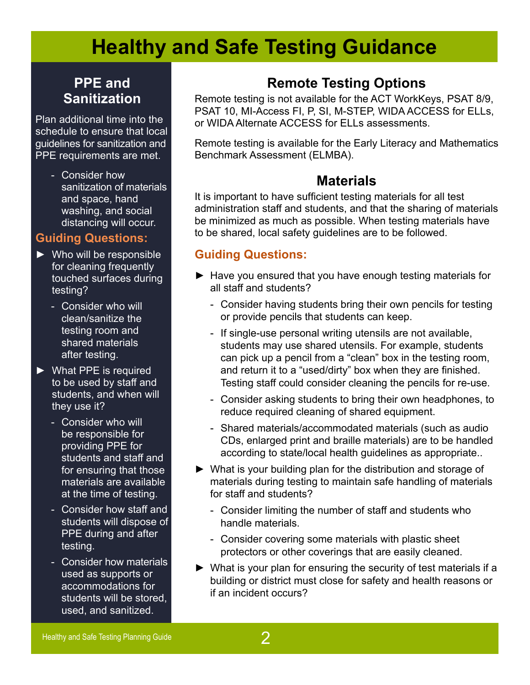#### **PPE and Sanitization**

Plan additional time into the schedule to ensure that local guidelines for sanitization and PPE requirements are met.

> - Consider how sanitization of materials and space, hand washing, and social distancing will occur.

#### **Guiding Questions:**

- ► Who will be responsible for cleaning frequently touched surfaces during testing?
	- Consider who will clean/sanitize the testing room and shared materials after testing.
- ► What PPE is required to be used by staff and students, and when will they use it?
	- Consider who will be responsible for providing PPE for students and staff and for ensuring that those materials are available at the time of testing.
	- Consider how staff and students will dispose of PPE during and after testing.
	- Consider how materials used as supports or accommodations for students will be stored, used, and sanitized.

### **Remote Testing Options**

Remote testing is not available for the ACT WorkKeys, PSAT 8/9, PSAT 10, MI-Access FI, P, SI, M-STEP, WIDA ACCESS for ELLs, or WIDA Alternate ACCESS for ELLs assessments.

Remote testing is available for the Early Literacy and Mathematics Benchmark Assessment (ELMBA).

#### **Materials**

It is important to have sufficient testing materials for all test administration staff and students, and that the sharing of materials be minimized as much as possible. When testing materials have to be shared, local safety guidelines are to be followed.

#### **Guiding Questions:**

- ► Have you ensured that you have enough testing materials for all staff and students?
	- Consider having students bring their own pencils for testing or provide pencils that students can keep.
	- If single-use personal writing utensils are not available, students may use shared utensils. For example, students can pick up a pencil from a "clean" box in the testing room, and return it to a "used/dirty" box when they are finished. Testing staff could consider cleaning the pencils for re-use.
	- Consider asking students to bring their own headphones, to reduce required cleaning of shared equipment.
	- - Shared materials/accommodated materials (such as audio CDs, enlarged print and braille materials) are to be handled according to state/local health guidelines as appropriate..
- ► What is your building plan for the distribution and storage of materials during testing to maintain safe handling of materials for staff and students?
	- Consider limiting the number of staff and students who handle materials.
	- Consider covering some materials with plastic sheet protectors or other coverings that are easily cleaned.
- ► What is your plan for ensuring the security of test materials if a building or district must close for safety and health reasons or if an incident occurs?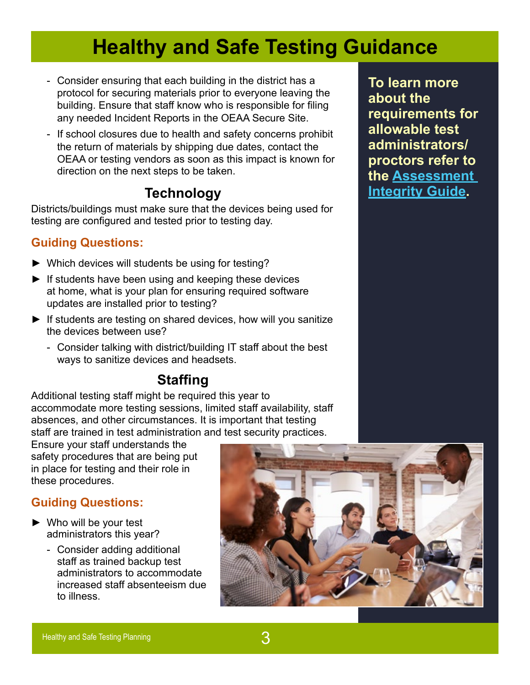- Consider ensuring that each building in the district has a protocol for securing materials prior to everyone leaving the building. Ensure that staff know who is responsible for filing any needed Incident Reports in the OEAA Secure Site.
- If school closures due to health and safety concerns prohibit the return of materials by shipping due dates, contact the OEAA or testing vendors as soon as this impact is known for direction on the next steps to be taken.

#### **Technology**

Districts/buildings must make sure that the devices being used for testing are configured and tested prior to testing day.

#### **Guiding Questions:**

- ► Which devices will students be using for testing?
- $\blacktriangleright$  If students have been using and keeping these devices at home, what is your plan for ensuring required software updates are installed prior to testing?
- ► If students are testing on shared devices, how will you sanitize the devices between use?
	- Consider talking with district/building IT staff about the best ways to sanitize devices and headsets.

### **Staffing**

Additional testing staff might be required this year to accommodate more testing sessions, limited staff availability, staff absences, and other circumstances. It is important that testing staff are trained in test administration and test security practices.

Ensure your staff understands the safety procedures that are being put in place for testing and their role in these procedures.

#### **Guiding Questions:**

- ► Who will be your test administrators this year?
	- Consider adding additional staff as trained backup test administrators to accommodate increased staff absenteeism due to illness.



**To learn more about the requirements for allowable test administrators/ proctors refer to the [Assessment](https://www.michigan.gov/documents/mde/Assessment_Integrity_Guide_291950_7.pdf)  [Integrity Guide](https://www.michigan.gov/documents/mde/Assessment_Integrity_Guide_291950_7.pdf).**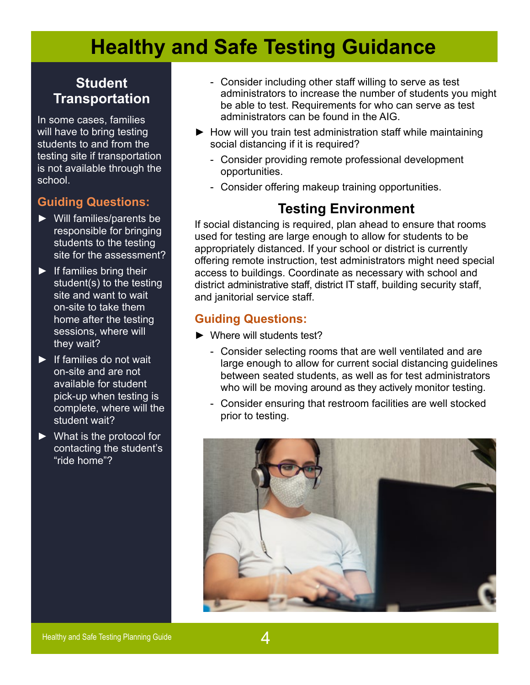#### **Student Transportation**

In some cases, families will have to bring testing students to and from the testing site if transportation is not available through the school.

#### **Guiding Questions:**

- ► Will families/parents be responsible for bringing students to the testing site for the assessment?
- $\blacktriangleright$  If families bring their student(s) to the testing site and want to wait on-site to take them home after the testing sessions, where will they wait?
- ► If families do not wait on-site and are not available for student pick-up when testing is complete, where will the student wait?
- ► What is the protocol for contacting the student's "ride home"?
- Consider including other staff willing to serve as test administrators to increase the number of students you might be able to test. Requirements for who can serve as test administrators can be found in the AIG.
- ► How will you train test administration staff while maintaining social distancing if it is required?
	- Consider providing remote professional development opportunities.
	- Consider offering makeup training opportunities.

#### **Testing Environment**

 district administrative staff, district IT staff, building security staff, If social distancing is required, plan ahead to ensure that rooms used for testing are large enough to allow for students to be appropriately distanced. If your school or district is currently offering remote instruction, test administrators might need special access to buildings. Coordinate as necessary with school and and janitorial service staff.

#### **Guiding Questions:**

- ► Where will students test?
	- who will be moving around as they actively monitor testing. - Consider selecting rooms that are well ventilated and are large enough to allow for current social distancing guidelines between seated students, as well as for test administrators
	- Consider ensuring that restroom facilities are well stocked prior to testing.

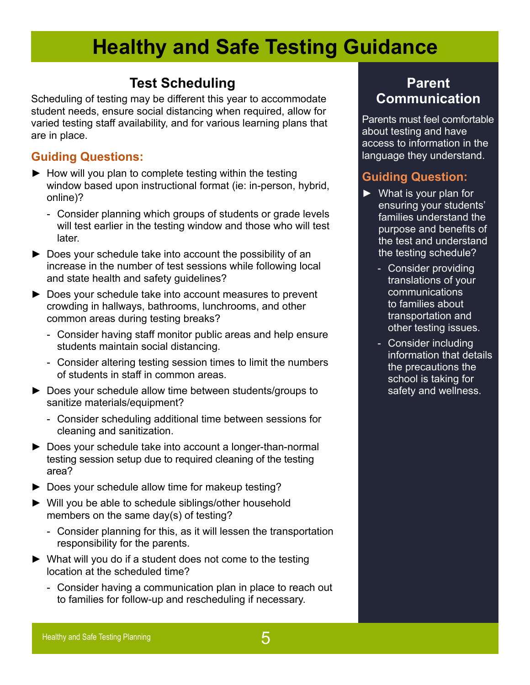#### **Test Scheduling**

Scheduling of testing may be different this year to accommodate student needs, ensure social distancing when required, allow for varied testing staff availability, and for various learning plans that are in place.

#### **Guiding Questions:**

- ► How will you plan to complete testing within the testing window based upon instructional format (ie: in-person, hybrid, online)?
	- Consider planning which groups of students or grade levels will test earlier in the testing window and those who will test later.
- ► Does your schedule take into account the possibility of an increase in the number of test sessions while following local and state health and safety guidelines?
- ► Does your schedule take into account measures to prevent crowding in hallways, bathrooms, lunchrooms, and other common areas during testing breaks?
	- Consider having staff monitor public areas and help ensure students maintain social distancing.
	- Consider altering testing session times to limit the numbers of students in staff in common areas.
- ► Does your schedule allow time between students/groups to sanitize materials/equipment?
	- Consider scheduling additional time between sessions for cleaning and sanitization.
- ► Does your schedule take into account a longer-than-normal testing session setup due to required cleaning of the testing area?
- ► Does your schedule allow time for makeup testing?
- ► Will you be able to schedule siblings/other household members on the same day(s) of testing?
	- Consider planning for this, as it will lessen the transportation responsibility for the parents.
- ► What will you do if a student does not come to the testing location at the scheduled time?
	- Consider having a communication plan in place to reach out to families for follow-up and rescheduling if necessary.

#### **Parent Communication**

Parents must feel comfortable about testing and have access to information in the language they understand.

#### **Guiding Question:**

- ► What is your plan for ensuring your students' families understand the purpose and benefits of the test and understand the testing schedule?
	- Consider providing translations of your communications to families about transportation and other testing issues.
	- Consider including information that details the precautions the school is taking for safety and wellness.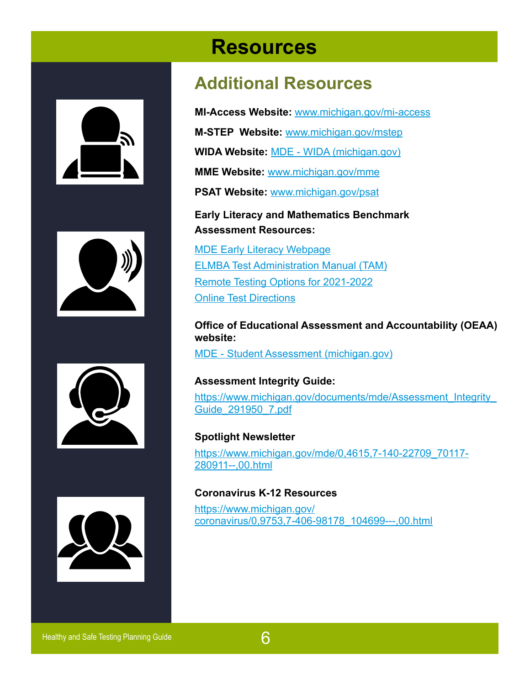<span id="page-5-0"></span>







# **Resources**

### **Additional Resources**

**MI-Access Website:** [www.michigan.gov/mi-access](https://www.michigan.gov/mde/0,1607,7-140-22709_28463---,00.html) 

**M-STEP Website:** [www.michigan.gov/mstep](https://www.michigan.gov/mde/0,4615,7-140-22709_70117---,00.html)

**WIDA Website:** [MDE - WIDA \(michigan.gov\)](https://www.michigan.gov/mde/0,4615,7-140-22709_40192---,00.html)

**MME Website:** [www.michigan.gov/mme](https://www.michigan.gov/mde/0,1607,7-140-22709_35150---,00.html) 

**PSAT Website:** [www.michigan.gov/psat](https://www.michigan.gov/mde/0,4615,7-140-22709_86724---,00.html) 

#### **Early Literacy and Mathematics Benchmark Assessment Resources:**

[MDE Early Literacy Webpage](https://www.michigan.gov/mde/0,4615,7-140-22709_63192---,00.html) ELMBA [Test Administration Manual \(TAM\)](https://www.michigan.gov/documents/mde/Early_Literacy_and_Mathematics_TAM_663326_7.pdf) [Remote Testing Options for](https://www.michigan.gov/mde/0,4615,7-140-22709_63192-539573--,00.html) 2021-2022 [Online Test Directions](https://www.michigan.gov/mde/0,4615,7-140-22709_63192-546541--,00.html)

**Office of Educational Assessment and Accountability (OEAA) website:** 

[MDE - Student Assessment \(michigan.gov\)](https://www.michigan.gov/mde/0,4615,7-140-22709---,00.html)

**Assessment Integrity Guide:**  https://www.michigan.gov/documents/mde/Assessment\_Integrity [Guide\\_291950\\_7.pdf](https://www.michigan.gov/documents/mde/Assessment_Integrity_Guide_291950_7.pdf)

**Spotlight Newsletter**  [https://www.michigan.gov/mde/0,4615,7-140-22709\\_70117-](https://www.michigan.gov/mde/0,4615,7-140-22709_70117-280911--,00.html) [280911--,00.html](https://www.michigan.gov/mde/0,4615,7-140-22709_70117-280911--,00.html)

#### **Coronavirus K-12 Resources**

[https://www.michigan.gov/](https://www.michigan.gov/coronavirus/0,9753,7-406-98178_104699---,00.html)  [coronavirus/0,9753,7-406-98178\\_104699---,00.html](https://www.michigan.gov/coronavirus/0,9753,7-406-98178_104699---,00.html)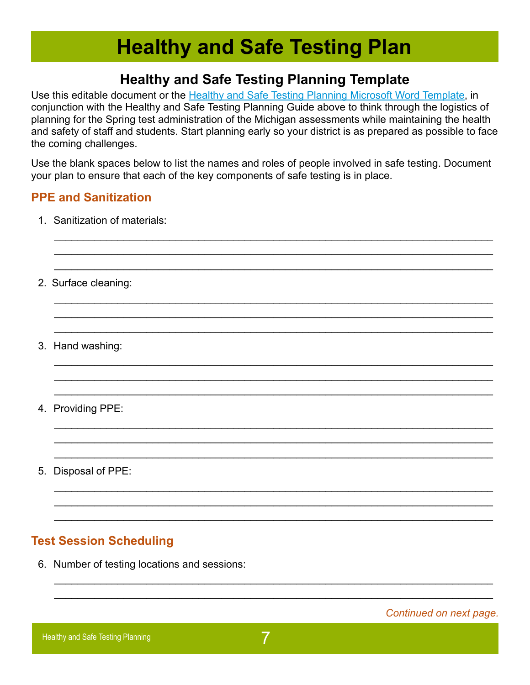#### <span id="page-6-0"></span>**Healthy and Safe Testing Planning Template**

<span id="page-6-1"></span>Use this editable document or the Healthy and Saf[e Testing Planning Microsoft Word Template](https://www.michigan.gov/documents/mde/Safe_Testing_Planning_Word_Template_716136_7.docx), in conjunction with the Healthy and Safe Testing Planning Guide above to think through the logistics of planning for the Spring test administration of the Michigan assessments while maintaining the health and safety of staff and students. Start planning early so your district is as prepared as possible to face the coming challenges.

Use the blank spaces below to list the names and roles of people involved in safe testing. Document your plan to ensure that each of the key components of safe testing is in place.

 $\mathcal{L}_\text{max} = \frac{1}{2} \sum_{i=1}^{n} \frac{1}{2} \sum_{i=1}^{n} \frac{1}{2} \sum_{i=1}^{n} \frac{1}{2} \sum_{i=1}^{n} \frac{1}{2} \sum_{i=1}^{n} \frac{1}{2} \sum_{i=1}^{n} \frac{1}{2} \sum_{i=1}^{n} \frac{1}{2} \sum_{i=1}^{n} \frac{1}{2} \sum_{i=1}^{n} \frac{1}{2} \sum_{i=1}^{n} \frac{1}{2} \sum_{i=1}^{n} \frac{1}{2} \sum_{i=1}^{n} \frac{1$ \_\_\_\_\_\_\_\_\_\_\_\_\_\_\_\_\_\_\_\_\_\_\_\_\_\_\_\_\_\_\_\_\_\_\_\_\_\_\_\_\_\_\_\_\_\_\_\_\_\_\_\_\_\_\_\_\_\_\_\_\_\_\_\_\_\_\_\_\_\_\_\_\_\_\_\_  $\mathcal{L}_\text{max} = \frac{1}{2} \sum_{i=1}^{n} \frac{1}{2} \sum_{i=1}^{n} \frac{1}{2} \sum_{i=1}^{n} \frac{1}{2} \sum_{i=1}^{n} \frac{1}{2} \sum_{i=1}^{n} \frac{1}{2} \sum_{i=1}^{n} \frac{1}{2} \sum_{i=1}^{n} \frac{1}{2} \sum_{i=1}^{n} \frac{1}{2} \sum_{i=1}^{n} \frac{1}{2} \sum_{i=1}^{n} \frac{1}{2} \sum_{i=1}^{n} \frac{1}{2} \sum_{i=1}^{n} \frac{1$ 

 $\mathcal{L}_\text{max} = \frac{1}{2} \sum_{i=1}^{n} \frac{1}{2} \sum_{i=1}^{n} \frac{1}{2} \sum_{i=1}^{n} \frac{1}{2} \sum_{i=1}^{n} \frac{1}{2} \sum_{i=1}^{n} \frac{1}{2} \sum_{i=1}^{n} \frac{1}{2} \sum_{i=1}^{n} \frac{1}{2} \sum_{i=1}^{n} \frac{1}{2} \sum_{i=1}^{n} \frac{1}{2} \sum_{i=1}^{n} \frac{1}{2} \sum_{i=1}^{n} \frac{1}{2} \sum_{i=1}^{n} \frac{1$  $\mathcal{L}_\text{max} = \frac{1}{2} \sum_{i=1}^{n} \frac{1}{2} \sum_{i=1}^{n} \frac{1}{2} \sum_{i=1}^{n} \frac{1}{2} \sum_{i=1}^{n} \frac{1}{2} \sum_{i=1}^{n} \frac{1}{2} \sum_{i=1}^{n} \frac{1}{2} \sum_{i=1}^{n} \frac{1}{2} \sum_{i=1}^{n} \frac{1}{2} \sum_{i=1}^{n} \frac{1}{2} \sum_{i=1}^{n} \frac{1}{2} \sum_{i=1}^{n} \frac{1}{2} \sum_{i=1}^{n} \frac{1$ 

 $\mathcal{L}_\text{max} = \frac{1}{2} \sum_{i=1}^{n} \frac{1}{2} \sum_{i=1}^{n} \frac{1}{2} \sum_{i=1}^{n} \frac{1}{2} \sum_{i=1}^{n} \frac{1}{2} \sum_{i=1}^{n} \frac{1}{2} \sum_{i=1}^{n} \frac{1}{2} \sum_{i=1}^{n} \frac{1}{2} \sum_{i=1}^{n} \frac{1}{2} \sum_{i=1}^{n} \frac{1}{2} \sum_{i=1}^{n} \frac{1}{2} \sum_{i=1}^{n} \frac{1}{2} \sum_{i=1}^{n} \frac{1$  $\mathcal{L}_\text{max} = \frac{1}{2} \sum_{i=1}^{n} \frac{1}{2} \sum_{i=1}^{n} \frac{1}{2} \sum_{i=1}^{n} \frac{1}{2} \sum_{i=1}^{n} \frac{1}{2} \sum_{i=1}^{n} \frac{1}{2} \sum_{i=1}^{n} \frac{1}{2} \sum_{i=1}^{n} \frac{1}{2} \sum_{i=1}^{n} \frac{1}{2} \sum_{i=1}^{n} \frac{1}{2} \sum_{i=1}^{n} \frac{1}{2} \sum_{i=1}^{n} \frac{1}{2} \sum_{i=1}^{n} \frac{1$ \_\_\_\_\_\_\_\_\_\_\_\_\_\_\_\_\_\_\_\_\_\_\_\_\_\_\_\_\_\_\_\_\_\_\_\_\_\_\_\_\_\_\_\_\_\_\_\_\_\_\_\_\_\_\_\_\_\_\_\_\_\_\_\_\_\_\_\_\_\_\_\_\_\_\_\_

 $\mathcal{L}_\text{max} = \frac{1}{2} \sum_{i=1}^{n} \frac{1}{2} \sum_{i=1}^{n} \frac{1}{2} \sum_{i=1}^{n} \frac{1}{2} \sum_{i=1}^{n} \frac{1}{2} \sum_{i=1}^{n} \frac{1}{2} \sum_{i=1}^{n} \frac{1}{2} \sum_{i=1}^{n} \frac{1}{2} \sum_{i=1}^{n} \frac{1}{2} \sum_{i=1}^{n} \frac{1}{2} \sum_{i=1}^{n} \frac{1}{2} \sum_{i=1}^{n} \frac{1}{2} \sum_{i=1}^{n} \frac{1$ \_\_\_\_\_\_\_\_\_\_\_\_\_\_\_\_\_\_\_\_\_\_\_\_\_\_\_\_\_\_\_\_\_\_\_\_\_\_\_\_\_\_\_\_\_\_\_\_\_\_\_\_\_\_\_\_\_\_\_\_\_\_\_\_\_\_\_\_\_\_\_\_\_\_\_\_  $\mathcal{L}_\text{max} = \frac{1}{2} \sum_{i=1}^{n} \frac{1}{2} \sum_{i=1}^{n} \frac{1}{2} \sum_{i=1}^{n} \frac{1}{2} \sum_{i=1}^{n} \frac{1}{2} \sum_{i=1}^{n} \frac{1}{2} \sum_{i=1}^{n} \frac{1}{2} \sum_{i=1}^{n} \frac{1}{2} \sum_{i=1}^{n} \frac{1}{2} \sum_{i=1}^{n} \frac{1}{2} \sum_{i=1}^{n} \frac{1}{2} \sum_{i=1}^{n} \frac{1}{2} \sum_{i=1}^{n} \frac{1$ 

\_\_\_\_\_\_\_\_\_\_\_\_\_\_\_\_\_\_\_\_\_\_\_\_\_\_\_\_\_\_\_\_\_\_\_\_\_\_\_\_\_\_\_\_\_\_\_\_\_\_\_\_\_\_\_\_\_\_\_\_\_\_\_\_\_\_\_\_\_\_\_\_\_\_\_\_  $\mathcal{L}_\text{max} = \frac{1}{2} \sum_{i=1}^{n} \frac{1}{2} \sum_{i=1}^{n} \frac{1}{2} \sum_{i=1}^{n} \frac{1}{2} \sum_{i=1}^{n} \frac{1}{2} \sum_{i=1}^{n} \frac{1}{2} \sum_{i=1}^{n} \frac{1}{2} \sum_{i=1}^{n} \frac{1}{2} \sum_{i=1}^{n} \frac{1}{2} \sum_{i=1}^{n} \frac{1}{2} \sum_{i=1}^{n} \frac{1}{2} \sum_{i=1}^{n} \frac{1}{2} \sum_{i=1}^{n} \frac{1$  $\mathcal{L}_\text{max} = \frac{1}{2} \sum_{i=1}^{n} \frac{1}{2} \sum_{i=1}^{n} \frac{1}{2} \sum_{i=1}^{n} \frac{1}{2} \sum_{i=1}^{n} \frac{1}{2} \sum_{i=1}^{n} \frac{1}{2} \sum_{i=1}^{n} \frac{1}{2} \sum_{i=1}^{n} \frac{1}{2} \sum_{i=1}^{n} \frac{1}{2} \sum_{i=1}^{n} \frac{1}{2} \sum_{i=1}^{n} \frac{1}{2} \sum_{i=1}^{n} \frac{1}{2} \sum_{i=1}^{n} \frac{1$ 

 $\mathcal{L}_\text{max} = \frac{1}{2} \sum_{i=1}^{n} \frac{1}{2} \sum_{i=1}^{n} \frac{1}{2} \sum_{i=1}^{n} \frac{1}{2} \sum_{i=1}^{n} \frac{1}{2} \sum_{i=1}^{n} \frac{1}{2} \sum_{i=1}^{n} \frac{1}{2} \sum_{i=1}^{n} \frac{1}{2} \sum_{i=1}^{n} \frac{1}{2} \sum_{i=1}^{n} \frac{1}{2} \sum_{i=1}^{n} \frac{1}{2} \sum_{i=1}^{n} \frac{1}{2} \sum_{i=1}^{n} \frac{1$  $\mathcal{L}_\text{max} = \frac{1}{2} \sum_{i=1}^{n} \frac{1}{2} \sum_{i=1}^{n} \frac{1}{2} \sum_{i=1}^{n} \frac{1}{2} \sum_{i=1}^{n} \frac{1}{2} \sum_{i=1}^{n} \frac{1}{2} \sum_{i=1}^{n} \frac{1}{2} \sum_{i=1}^{n} \frac{1}{2} \sum_{i=1}^{n} \frac{1}{2} \sum_{i=1}^{n} \frac{1}{2} \sum_{i=1}^{n} \frac{1}{2} \sum_{i=1}^{n} \frac{1}{2} \sum_{i=1}^{n} \frac{1$ 

#### **PPE and Sanitization**

- 1. Sanitization of materials:
- \_\_\_\_\_\_\_\_\_\_\_\_\_\_\_\_\_\_\_\_\_\_\_\_\_\_\_\_\_\_\_\_\_\_\_\_\_\_\_\_\_\_\_\_\_\_\_\_\_\_\_\_\_\_\_\_\_\_\_\_\_\_\_\_\_\_\_\_\_\_\_\_\_\_\_\_ 2. Surface cleaning:
- 3. Hand washing:
- 4. Providing PPE:
- 5. Disposal of PPE:

#### **Test Session Scheduling**

6. Number of testing locations and sessions: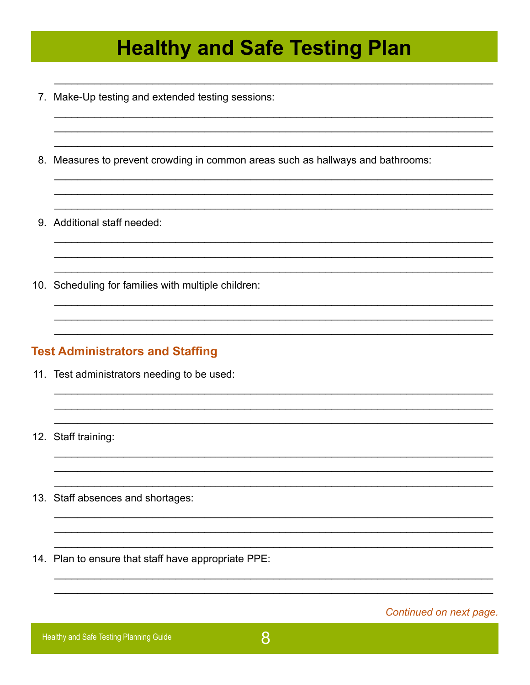- 7. Make-Up testing and extended testing sessions:
- 8. Measures to prevent crowding in common areas such as hallways and bathrooms:
- 9. Additional staff needed:
- 10. Scheduling for families with multiple children:

#### **Test Administrators and Staffing**

- 11. Test administrators needing to be used:
- 12. Staff training:
- 13. Staff absences and shortages:
- 14. Plan to ensure that staff have appropriate PPE:

Continued on next page.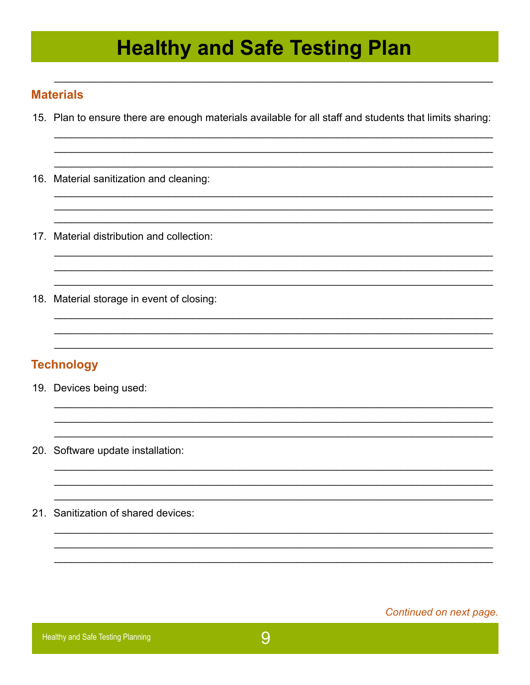#### **Materials**

- 15. Plan to ensure there are enough materials available for all staff and students that limits sharing:
- 16. Material sanitization and cleaning:
- 17. Material distribution and collection:
- 18. Material storage in event of closing:

#### **Technology**

- 19. Devices being used:
- 20. Software update installation:
- 21. Sanitization of shared devices:

Continued on next page.